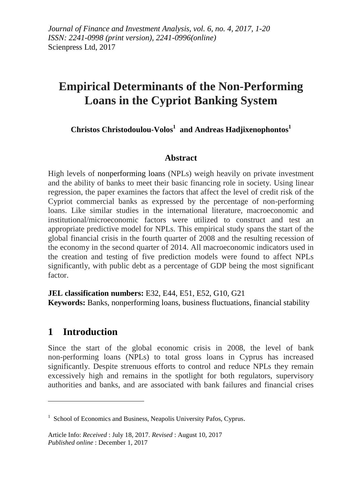# **Empirical Determinants of the Non-Performing Loans in the Cypriot Banking System**

**Christos Christodoulou-Volos<sup>1</sup> and Andreas Hadjixenophontos<sup>1</sup>**

## **Abstract**

High levels of nonperforming loans (NPLs) weigh heavily on private investment and the ability of banks to meet their basic financing role in society. Using linear regression, the paper examines the factors that affect the level of credit risk of the Cypriot commercial banks as expressed by the percentage of non-performing loans. Like similar studies in the international literature, macroeconomic and institutional/microeconomic factors were utilized to construct and test an appropriate predictive model for NPLs. This empirical study spans the start of the global financial crisis in the fourth quarter of 2008 and the resulting recession of the economy in the second quarter of 2014. All macroeconomic indicators used in the creation and testing of five prediction models were found to affect NPLs significantly, with public debt as a percentage of GDP being the most significant factor.

**JEL classification numbers:** E32, E44, E51, E52, G10, G21 **Keywords:** Banks, nonperforming loans, business fluctuations, financial stability

## **1 Introduction**

1

Since the start of the global economic crisis in 2008, the level of bank non-performing loans (NPLs) to total gross loans in Cyprus has increased significantly. Despite strenuous efforts to control and reduce NPLs they remain excessively high and remains in the spotlight for both regulators, supervisory authorities and banks, and are associated with bank failures and financial crises

<sup>&</sup>lt;sup>1</sup> School of Economics and Business, Neapolis University Pafos, Cyprus.

Article Info: *Received* : July 18, 2017. *Revised* : August 10, 2017 *Published online* : December 1, 2017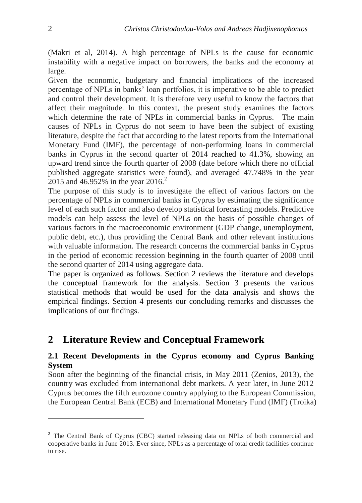(Makri et al, 2014). A high percentage of NPLs is the cause for economic instability with a negative impact on borrowers, the banks and the economy at large.

Given the economic, budgetary and financial implications of the increased percentage of NPLs in banks' loan portfolios, it is imperative to be able to predict and control their development. It is therefore very useful to know the factors that affect their magnitude. In this context, the present study examines the factors which determine the rate of NPLs in commercial banks in Cyprus. The main causes of NPLs in Cyprus do not seem to have been the subject of existing literature, despite the fact that according to the latest reports from the International Monetary Fund (IMF), the percentage of non-performing loans in commercial banks in Cyprus in the second quarter of 2014 reached to 41.3%, showing an upward trend since the fourth quarter of 2008 (date before which there no official published aggregate statistics were found), and averaged 47.748% in the year 2015 and 46.952% in the year 2016.<sup>2</sup>

The purpose of this study is to investigate the effect of various factors on the percentage of NPLs in commercial banks in Cyprus by estimating the significance level of each such factor and also develop statistical forecasting models. Predictive models can help assess the level of NPLs on the basis of possible changes of various factors in the macroeconomic environment (GDP change, unemployment, public debt, etc.), thus providing the Central Bank and other relevant institutions with valuable information. The research concerns the commercial banks in Cyprus in the period of economic recession beginning in the fourth quarter of 2008 until the second quarter of 2014 using aggregate data.

The paper is organized as follows. Section 2 reviews the literature and develops the conceptual framework for the analysis. Section 3 presents the various statistical methods that would be used for the data analysis and shows the empirical findings. Section 4 presents our concluding remarks and discusses the implications of our findings.

## **2 Literature Review and Conceptual Framework**

## **2.1 Recent Developments in the Cyprus economy and Cyprus Banking System**

Soon after the beginning of the financial crisis, in May 2011 (Zenios, 2013), the country was excluded from international debt markets. A year later, in June 2012 Cyprus becomes the fifth eurozone country applying to the European Commission, the European Central Bank (ECB) and International Monetary Fund (IMF) (Troika)

1

<sup>&</sup>lt;sup>2</sup> The Central Bank of Cyprus (CBC) started releasing data on NPLs of both commercial and cooperative banks in June 2013. Ever since, NPLs as a percentage of total credit facilities continue to rise.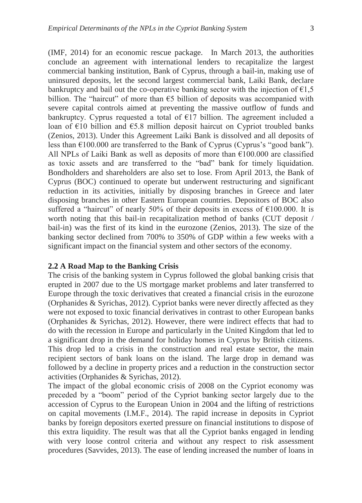(IMF, 2014) for an economic rescue package. In March 2013, the authorities conclude an agreement with international lenders to recapitalize the largest commercial banking institution, Bank of Cyprus, through a bail-in, making use of uninsured deposits, let the second largest commercial bank, Laiki Bank, declare bankruptcy and bail out the co-operative banking sector with the injection of  $\epsilon$ 1,5 billion. The "haircut" of more than  $\epsilon$ 5 billion of deposits was accompanied with severe capital controls aimed at preventing the massive outflow of funds and bankruptcy. Cyprus requested a total of  $E17$  billion. The agreement included a loan of €10 billion and €5.8 million deposit haircut on Cypriot troubled banks (Zenios, 2013). Under this Agreement Laiki Bank is dissolved and all deposits of less than  $\epsilon$ 100.000 are transferred to the Bank of Cyprus (Cyprus's "good bank"). All NPLs of Laiki Bank as well as deposits of more than  $\epsilon$ 100.000 are classified as toxic assets and are transferred to the "bad" bank for timely liquidation. Bondholders and shareholders are also set to lose. From April 2013, the Bank of Cyprus (BOC) continued to operate but underwent restructuring and significant reduction in its activities, initially by disposing branches in Greece and later disposing branches in other Eastern European countries. Depositors of BOC also suffered a "haircut" of nearly 50% of their deposits in excess of  $€100.000$ . It is worth noting that this bail-in recapitalization method of banks (CUT deposit / bail-in) was the first of its kind in the eurozone (Zenios, 2013). The size of the banking sector declined from 700% to 350% of GDP within a few weeks with a significant impact on the financial system and other sectors of the economy.

#### **2.2 A Road Map to the Banking Crisis**

The crisis of the banking system in Cyprus followed the global banking crisis that erupted in 2007 due to the US mortgage market problems and later transferred to Europe through the toxic derivatives that created a financial crisis in the eurozone (Orphanides & Syrichas, 2012). Cypriot banks were never directly affected as they were not exposed to toxic financial derivatives in contrast to other European banks (Orphanides & Syrichas, 2012). However, there were indirect effects that had to do with the recession in Europe and particularly in the United Kingdom that led to a significant drop in the demand for holiday homes in Cyprus by British citizens. This drop led to a crisis in the construction and real estate sector, the main recipient sectors of bank loans on the island. The large drop in demand was followed by a decline in property prices and a reduction in the construction sector activities (Orphanides & Syrichas, 2012).

The impact of the global economic crisis of 2008 on the Cypriot economy was preceded by a "boom" period of the Cypriot banking sector largely due to the accession of Cyprus to the European Union in 2004 and the lifting of restrictions on capital movements (I.M.F., 2014). The rapid increase in deposits in Cypriot banks by foreign depositors exerted pressure on financial institutions to dispose of this extra liquidity. The result was that all the Cypriot banks engaged in lending with very loose control criteria and without any respect to risk assessment procedures (Savvides, 2013). The ease of lending increased the number of loans in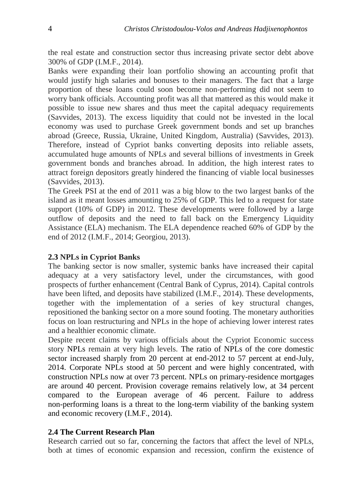the real estate and construction sector thus increasing private sector debt above 300% of GDP (I.M.F., 2014).

Banks were expanding their loan portfolio showing an accounting profit that would justify high salaries and bonuses to their managers. The fact that a large proportion of these loans could soon become non-performing did not seem to worry bank officials. Accounting profit was all that mattered as this would make it possible to issue new shares and thus meet the capital adequacy requirements (Savvides, 2013). The excess liquidity that could not be invested in the local economy was used to purchase Greek government bonds and set up branches abroad (Greece, Russia, Ukraine, United Kingdom, Australia) (Savvides, 2013). Therefore, instead of Cypriot banks converting deposits into reliable assets, accumulated huge amounts of NPLs and several billions of investments in Greek government bonds and branches abroad. In addition, the high interest rates to attract foreign depositors greatly hindered the financing of viable local businesses (Savvides, 2013).

The Greek PSI at the end of 2011 was a big blow to the two largest banks of the island as it meant losses amounting to 25% of GDP. This led to a request for state support (10% of GDP) in 2012. These developments were followed by a large outflow of deposits and the need to fall back on the Emergency Liquidity Assistance (ELA) mechanism. The ELA dependence reached 60% of GDP by the end of 2012 (I.M.F., 2014; Georgiou, 2013).

## **2.3 NPLs in Cypriot Banks**

The banking sector is now smaller, systemic banks have increased their capital adequacy at a very satisfactory level, under the circumstances, with good prospects of further enhancement (Central Bank of Cyprus, 2014). Capital controls have been lifted, and deposits have stabilized (I.M.F., 2014). These developments, together with the implementation of a series of key structural changes, repositioned the banking sector on a more sound footing. The monetary authorities focus on loan restructuring and NPLs in the hope of achieving lower interest rates and a healthier economic climate.

Despite recent claims by various officials about the Cypriot Economic success story NPLs remain at very high levels. The ratio of NPLs of the core domestic sector increased sharply from 20 percent at end-2012 to 57 percent at end-July, 2014. Corporate NPLs stood at 50 percent and were highly concentrated, with construction NPLs now at over 73 percent. NPLs on primary-residence mortgages are around 40 percent. Provision coverage remains relatively low, at 34 percent compared to the European average of 46 percent. Failure to address non-performing loans is a threat to the long-term viability of the banking system and economic recovery (I.M.F., 2014).

## **2.4 The Current Research Plan**

Research carried out so far, concerning the factors that affect the level of NPLs, both at times of economic expansion and recession, confirm the existence of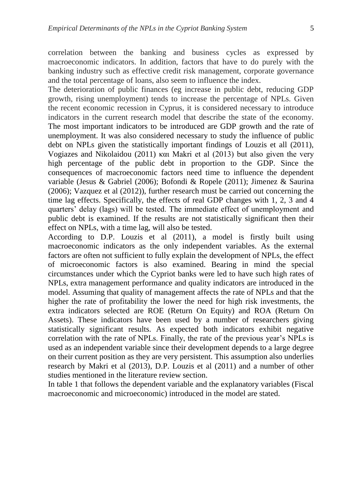correlation between the banking and business cycles as expressed by macroeconomic indicators. In addition, factors that have to do purely with the banking industry such as effective credit risk management, corporate governance and the total percentage of loans, also seem to influence the index.

The deterioration of public finances (eg increase in public debt, reducing GDP growth, rising unemployment) tends to increase the percentage of NPLs. Given the recent economic recession in Cyprus, it is considered necessary to introduce indicators in the current research model that describe the state of the economy. The most important indicators to be introduced are GDP growth and the rate of unemployment. It was also considered necessary to study the influence of public debt on NPLs given the statistically important findings of Louzis et all (2011), Vogiazes and Nikolaidou (2011) και Makri et al (2013) but also given the very high percentage of the public debt in proportion to the GDP. Since the consequences of macroeconomic factors need time to influence the dependent variable (Jesus & Gabriel (2006); Bofondi & Ropele (2011); Jimenez & Saurina (2006); Vazquez et al (2012)), further research must be carried out concerning the time lag effects. Specifically, the effects of real GDP changes with 1, 2, 3 and 4 quarters' delay (lags) will be tested. The immediate effect of unemployment and public debt is examined. If the results are not statistically significant then their effect on NPLs, with a time lag, will also be tested.

According to D.P. Louzis et al (2011), a model is firstly built using macroeconomic indicators as the only independent variables. As the external factors are often not sufficient to fully explain the development of NPLs, the effect of microeconomic factors is also examined. Bearing in mind the special circumstances under which the Cypriot banks were led to have such high rates of NPLs, extra management performance and quality indicators are introduced in the model. Assuming that quality of management affects the rate of NPLs and that the higher the rate of profitability the lower the need for high risk investments, the extra indicators selected are ROE (Return On Equity) and ROA (Return On Assets). These indicators have been used by a number of researchers giving statistically significant results. As expected both indicators exhibit negative correlation with the rate of NPLs. Finally, the rate of the previous year's NPLs is used as an independent variable since their development depends to a large degree on their current position as they are very persistent. This assumption also underlies research by Makri et al (2013), D.P. Louzis et al (2011) and a number of other studies mentioned in the literature review section.

In table 1 that follows the dependent variable and the explanatory variables (Fiscal macroeconomic and microeconomic) introduced in the model are stated.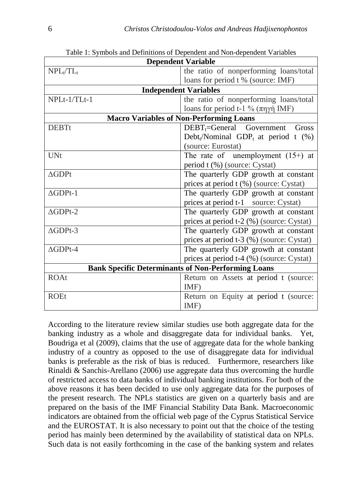| <b>Dependent Variable</b> |                                                                |  |  |  |  |  |
|---------------------------|----------------------------------------------------------------|--|--|--|--|--|
| $NPL_t/TL_t$              | the ratio of nonperforming loans/total                         |  |  |  |  |  |
|                           | loans for period t % (source: IMF)                             |  |  |  |  |  |
|                           | <b>Independent Variables</b>                                   |  |  |  |  |  |
| NPLt-1/TLt-1              | the ratio of nonperforming loans/total                         |  |  |  |  |  |
|                           | loans for period t-1 % $(\pi \eta \gamma \eta)$ IMF)           |  |  |  |  |  |
|                           | <b>Macro Variables of Non-Performing Loans</b>                 |  |  |  |  |  |
| <b>DEBTt</b>              | $DEBT_t = General$ Government<br>Gross                         |  |  |  |  |  |
|                           | Debt <sub>t</sub> /Nominal GDP <sub>t</sub> at period t $(\%)$ |  |  |  |  |  |
|                           | (source: Eurostat)                                             |  |  |  |  |  |
| <b>UNt</b>                | The rate of unemployment $(15+)$ at                            |  |  |  |  |  |
|                           | period t (%) (source: Cystat)                                  |  |  |  |  |  |
| $\Delta GDPt$             | The quarterly GDP growth at constant                           |  |  |  |  |  |
|                           | prices at period t (%) (source: Cystat)                        |  |  |  |  |  |
| $\Delta$ GDPt-1           | The quarterly GDP growth at constant                           |  |  |  |  |  |
|                           | prices at period t-1 source: Cystat)                           |  |  |  |  |  |
| $\triangle$ GDPt-2        | The quarterly GDP growth at constant                           |  |  |  |  |  |
|                           | prices at period t-2 (%) (source: Cystat)                      |  |  |  |  |  |
| $\triangle$ GDPt-3        | The quarterly GDP growth at constant                           |  |  |  |  |  |
|                           | prices at period t-3 (%) (source: Cystat)                      |  |  |  |  |  |
| $\Delta$ GDPt-4           | The quarterly GDP growth at constant                           |  |  |  |  |  |
|                           | prices at period t-4 (%) (source: Cystat)                      |  |  |  |  |  |
|                           | <b>Bank Specific Determinants of Non-Performing Loans</b>      |  |  |  |  |  |
| <b>ROAt</b>               | Return on Assets at period t (source:                          |  |  |  |  |  |
|                           | IMF)                                                           |  |  |  |  |  |
| <b>ROEt</b>               | Return on Equity at period t (source:                          |  |  |  |  |  |
|                           | IMF)                                                           |  |  |  |  |  |

Table 1: Symbols and Definitions of Dependent and Non-dependent Variables

According to the literature review similar studies use both aggregate data for the banking industry as a whole and disaggregate data for individual banks. Yet, Boudriga et al (2009), claims that the use of aggregate data for the whole banking industry of a country as opposed to the use of disaggregate data for individual banks is preferable as the risk of bias is reduced. Furthermore, researchers like Rinaldi & Sanchis-Arellano (2006) use aggregate data thus overcoming the hurdle of restricted access to data banks of individual banking institutions. For both of the above reasons it has been decided to use only aggregate data for the purposes of the present research. The NPLs statistics are given on a quarterly basis and are prepared on the basis of the IMF Financial Stability Data Bank. Macroeconomic indicators are obtained from the official web page of the Cyprus Statistical Service and the EUROSTAT. It is also necessary to point out that the choice of the testing period has mainly been determined by the availability of statistical data on NPLs. Such data is not easily forthcoming in the case of the banking system and relates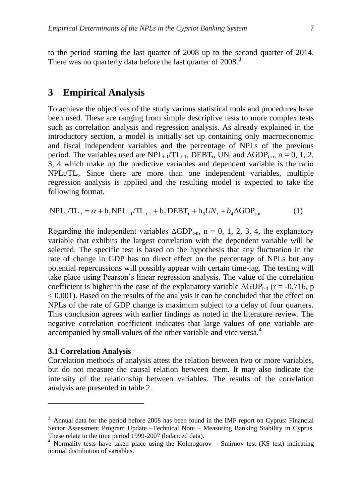to the period starting the last quarter of 2008 up to the second quarter of 2014. There was no quarterly data before the last quarter of 2008.<sup>3</sup>

## **3 Empirical Analysis**

To achieve the objectives of the study various statistical tools and procedures have been used. These are ranging from simple descriptive tests to more complex tests such as correlation analysis and regression analysis. As already explained in the introductory section, a model is initially set up containing only macroeconomic and fiscal independent variables and the percentage of NPLs of the previous period. The variables used are  $NPL_{t-1}/TL_{t-1}$ ,  $DEBT_t$ , UN<sub>t</sub> and  $\Delta GDP_{t-n}$ , n = 0, 1, 2, 3, 4 which make up the predictive variables and dependent variable is the ratio NPLt/TL<sub>t</sub>. Since there are more than one independent variables, multiple regression analysis is applied and the resulting model is expected to take the following format.

 $NPL_t/TL_t = \alpha + b_1 NPL_{t-1}/TL_{t-1} + b_2 DEBT_t + b_3 UN_t + b_4 \Delta GDP_{t-n}$  (1)

Regarding the independent variables  $\Delta GDP_{t-n}$ , n = 0, 1, 2, 3, 4, the explanatory variable that exhibits the largest correlation with the dependent variable will be selected. The specific test is based on the hypothesis that any fluctuation in the rate of change in GDP has no direct effect on the percentage of NPLs but any potential repercussions will possibly appear with certain time-lag. The testing will take place using Pearson's linear regression analysis. The value of the correlation coefficient is higher in the case of the explanatory variable  $\Delta GDP_{t-4}$  (r = -0.716, p < 0.001). Based on the results of the analysis it can be concluded that the effect on NPLs of the rate of GDP change is maximum subject to a delay of four quarters. This conclusion agrees with earlier findings as noted in the literature review. The negative correlation coefficient indicates that large values of one variable are accompanied by small values of the other variable and vice versa.<sup>4</sup>

#### **3.1 Correlation Analysis**

1

Correlation methods of analysis attest the relation between two or more variables, but do not measure the causal relation between them. It may also indicate the intensity of the relationship between variables. The results of the correlation analysis are presented in table 2.

 $3$  Annual data for the period before 2008 has been found in the IMF report on Cyprus: Financial Sector Assessment Program Update –Technical Note – Measuring Banking Stability in Cyprus. These relate to the time period 1999-2007 (balanced data).

 $4$  Normality tests have taken place using the Kolmogorov – Smirnov test (KS test) indicating normal distribution of variables.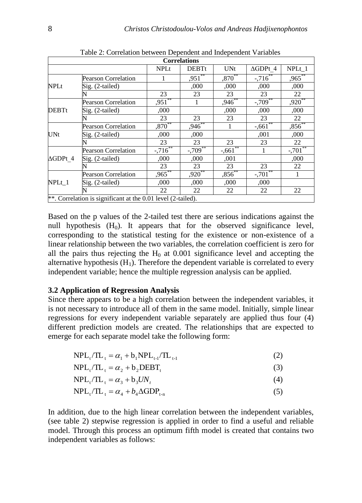|                 | <b>Correlations</b>                                          |                      |              |                      |                    |                       |  |  |  |
|-----------------|--------------------------------------------------------------|----------------------|--------------|----------------------|--------------------|-----------------------|--|--|--|
|                 |                                                              | <b>NPLt</b>          | <b>DEBTt</b> | <b>UNt</b>           | $\triangle GDPt$ 4 | $NPLt_1$              |  |  |  |
|                 | <b>Pearson Correlation</b>                                   |                      | ,951         | $,870**$             | $-716$             | $,965$ **             |  |  |  |
| <b>NPLt</b>     | Sig. (2-tailed)                                              |                      | ,000         | ,000                 | ,000               | ,000                  |  |  |  |
|                 |                                                              | 23                   | 23           | 23                   | 23                 | 22                    |  |  |  |
|                 | <b>Pearson Correlation</b>                                   | $,951$ <sup>**</sup> | 1            | $,946$ <sup>**</sup> | $-709$             | $,920$ <sup>**</sup>  |  |  |  |
| <b>DEBTt</b>    | Sig. (2-tailed)                                              | ,000                 |              | ,000                 | ,000               | ,000                  |  |  |  |
|                 |                                                              | 23                   | 23           | 23                   | 23                 | 22                    |  |  |  |
|                 | <b>Pearson Correlation</b>                                   | $,870***$            | ,946         |                      | $-661$             | $,856^{**}$           |  |  |  |
| <b>UNt</b>      | Sig. (2-tailed)                                              | ,000                 | ,000         |                      | ,001               | ,000                  |  |  |  |
|                 |                                                              | 23                   | 23           | 23                   | 23                 | 22                    |  |  |  |
|                 | <b>Pearson Correlation</b>                                   | $-716$               | $-709^{**}$  | $-661$               |                    | $-.701$ <sup>**</sup> |  |  |  |
| $\Delta GDPt$ 4 | Sig. (2-tailed)                                              | ,000                 | ,000         | ,001                 |                    | ,000                  |  |  |  |
|                 |                                                              | 23                   | 23           | 23                   | 23                 | 22                    |  |  |  |
|                 | <b>Pearson Correlation</b>                                   | $,965^{**}$          | $,920^{**}$  | $,856$ **            | $-701^{**}$        |                       |  |  |  |
| NPLt 1          | Sig. (2-tailed)                                              | ,000                 | ,000         | ,000                 | ,000               |                       |  |  |  |
|                 |                                                              | 22                   | 22           | 22                   | 22                 | 22                    |  |  |  |
|                 | **. Correlation is significant at the 0.01 level (2-tailed). |                      |              |                      |                    |                       |  |  |  |

Table 2: Correlation between Dependent and Independent Variables

Based on the p values of the 2-tailed test there are serious indications against the null hypothesis  $(H_0)$ . It appears that for the observed significance level, corresponding to the statistical testing for the existence or non-existence of a linear relationship between the two variables, the correlation coefficient is zero for all the pairs thus rejecting the  $H_0$  at 0.001 significance level and accepting the alternative hypothesis  $(H_1)$ . Therefore the dependent variable is correlated to every independent variable; hence the multiple regression analysis can be applied.

#### **3.2 Application of Regression Analysis**

Since there appears to be a high correlation between the independent variables, it is not necessary to introduce all of them in the same model. Initially, simple linear regressions for every independent variable separately are applied thus four (4) different prediction models are created. The relationships that are expected to emerge for each separate model take the following form:

|  | $NPL_{t}/TL_{t} = \alpha_{1} + b_{1}NPL_{t-1}/TL_{t-1}$ |  |  |
|--|---------------------------------------------------------|--|--|
|  |                                                         |  |  |

 $NPL_t/TL_t = \alpha_2 + b_2DEBT_t$ (3)

$$
NPL_t/TL_t = \alpha_3 + b_3UN_t
$$
\n(4)

$$
NPL_{t}/TL_{t} = \alpha_{4} + b_{4}\Delta GDP_{t-n}
$$
\n
$$
\tag{5}
$$

In addition, due to the high linear correlation between the independent variables, (see table 2) stepwise regression is applied in order to find a useful and reliable model. Through this process an optimum fifth model is created that contains two independent variables as follows: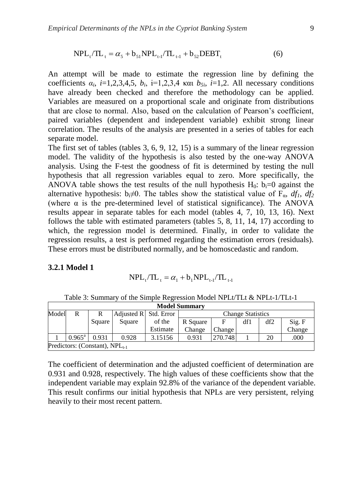$$
NPL_{t}/TL_{t} = \alpha_{5} + b_{51}NPL_{t-1}/TL_{t-1} + b_{52}DEBT_{t}
$$
 (6)

An attempt will be made to estimate the regression line by defining the coefficients  $\alpha_i$ , *i*=1,2,3,4,5,  $b_i$ , *i*=1,2,3,4 και  $b_{5i}$ , *i*=1,2. All necessary conditions have already been checked and therefore the methodology can be applied. Variables are measured on a proportional scale and originate from distributions that are close to normal. Also, based on the calculation of Pearson's coefficient, paired variables (dependent and independent variable) exhibit strong linear correlation. The results of the analysis are presented in a series of tables for each separate model.

The first set of tables (tables 3, 6, 9, 12, 15) is a summary of the linear regression model. The validity of the hypothesis is also tested by the one-way ANOVA analysis. Using the F-test the goodness of fit is determined by testing the null hypothesis that all regression variables equal to zero. More specifically, the ANOVA table shows the test results of the null hypothesis  $H_0$ :  $b_i=0$  against the alternative hypothesis:  $b_i \neq 0$ . The tables show the statistical value of  $F_\alpha$ ,  $df_1$ ,  $df_2$ (where  $\alpha$  is the pre-determined level of statistical significance). The ANOVA results appear in separate tables for each model (tables 4, 7, 10, 13, 16). Next follows the table with estimated parameters (tables 5, 8, 11, 14, 17) according to which, the regression model is determined. Finally, in order to validate the regression results, a test is performed regarding the estimation errors (residuals). These errors must be distributed normally, and be homoscedastic and random.

#### **3.2.1 Model 1**

$$
NPL_{\rm t}/TL_{\rm t}=\alpha_{\rm l}+b_{\rm l}NPL_{\rm t\text{-}l}/TL_{\rm t\text{-}l}
$$

|       | <b>Model Summary</b> |                                     |                       |          |                          |               |     |     |        |
|-------|----------------------|-------------------------------------|-----------------------|----------|--------------------------|---------------|-----|-----|--------|
| Model | R                    | R                                   | Adjusted R Std. Error |          | <b>Change Statistics</b> |               |     |     |        |
|       |                      | Square                              | Square                | of the   | R Square                 | F             | df1 | df2 | Sig. F |
|       |                      |                                     |                       | Estimate | Change                   | <b>Change</b> |     |     | Change |
|       | $0.965^{\text{a}}$   | 0.931                               | 0.928                 | 3.15156  | 0.931                    | 270.748       |     | 20  | .000   |
|       |                      | Predictors: (Constant), $NPL_{t-1}$ |                       |          |                          |               |     |     |        |

Table 3: Summary of the Simple Regression Model NPLt/TLt & NPLt-1/TLt-1

The coefficient of determination and the adjusted coefficient of determination are 0.931 and 0.928, respectively. The high values of these coefficients show that the independent variable may explain 92.8% of the variance of the dependent variable. This result confirms our initial hypothesis that NPLs are very persistent, relying heavily to their most recent pattern.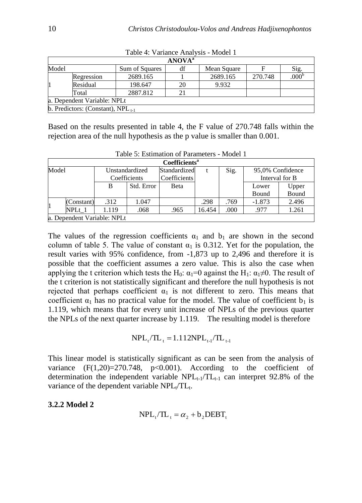|       | <b>ANOVA</b> <sup>a</sup>              |                |    |             |         |      |  |  |  |  |
|-------|----------------------------------------|----------------|----|-------------|---------|------|--|--|--|--|
| Model |                                        | Sum of Squares | df | Mean Square |         | Sig. |  |  |  |  |
|       | Regression                             | 2689.165       |    | 2689.165    | 270.748 | .000 |  |  |  |  |
|       | Residual                               | 198.647        | 20 | 9.932       |         |      |  |  |  |  |
|       | Total                                  | 2887.812       |    |             |         |      |  |  |  |  |
|       | a. Dependent Variable: NPLt            |                |    |             |         |      |  |  |  |  |
|       | b. Predictors: (Constant), $NPL_{t-1}$ |                |    |             |         |      |  |  |  |  |

Table 4: Variance Analysis - Model 1

Based on the results presented in table 4, the F value of 270.748 falls within the rejection area of the null hypothesis as the p value is smaller than 0.001.

|       | Coefficients <sup>a</sup> |                             |            |              |        |      |                  |                |  |  |
|-------|---------------------------|-----------------------------|------------|--------------|--------|------|------------------|----------------|--|--|
| Model |                           | Unstandardized              |            | Standardized |        | Sig. | 95,0% Confidence |                |  |  |
|       |                           | Coefficients                |            | Coefficients |        |      |                  | Interval for B |  |  |
|       |                           | B                           | Std. Error | Beta         |        |      | Lower            | Upper          |  |  |
|       |                           |                             |            |              |        |      | Bound            | Bound          |  |  |
|       | (Constant)                | .312                        | 1.047      |              | .298   | .769 | $-1.873$         | 2.496          |  |  |
|       | NPLt 1                    | 1.119                       | .068       | .965         | 16.454 | .000 | .977             | 1.261          |  |  |
|       |                           | a. Dependent Variable: NPLt |            |              |        |      |                  |                |  |  |

Table 5: Estimation of Parameters - Model 1

The values of the regression coefficients  $\alpha_1$  and  $b_1$  are shown in the second column of table 5. The value of constant  $\alpha_1$  is 0.312. Yet for the population, the result varies with 95% confidence, from -1,873 up to 2,496 and therefore it is possible that the coefficient assumes a zero value. This is also the case when applying the t criterion which tests the H<sub>0</sub>:  $\alpha_1=0$  against the H<sub>1</sub>:  $\alpha_1\neq 0$ . The result of the t criterion is not statistically significant and therefore the null hypothesis is not rejected that perhaps coefficient  $\alpha_1$  is not different to zero. This means that coefficient  $\alpha_1$  has no practical value for the model. The value of coefficient  $b_1$  is 1.119, which means that for every unit increase of NPLs of the previous quarter the NPLs of the next quarter increase by 1.119. The resulting model is therefore

$$
NPL_t/TL_t = 1.112NPL_{t-1}/TL_{t-1}
$$

This linear model is statistically significant as can be seen from the analysis of variance  $(F(1,20)=270.748, p<0.001)$ . According to the coefficient of determination the independent variable  $NPL_{t-1}/TL_{t-1}$  can interpret 92.8% of the variance of the dependent variable NPL<sub>t</sub>/TL<sub>t</sub>.

**3.2.2 Model 2**

$$
NPL_t/TL_t = \alpha_2 + b_2DEBT_t
$$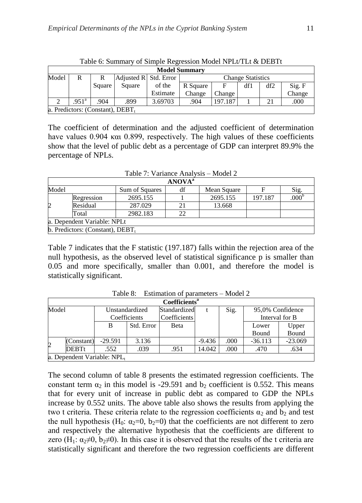|       | <b>Model Summary</b>             |        |                                            |          |                          |         |     |     |        |  |  |
|-------|----------------------------------|--------|--------------------------------------------|----------|--------------------------|---------|-----|-----|--------|--|--|
| Model | R                                |        | $\operatorname{\sf Adjusted} R$ Std. Error |          | <b>Change Statistics</b> |         |     |     |        |  |  |
|       |                                  | Square | Square                                     | of the   | R Square                 | E       | df1 | df2 | Sig. F |  |  |
|       |                                  |        |                                            | Estimate | Change                   | Change  |     |     | Change |  |  |
|       | .951 <sup>a</sup>                | 904    | .899                                       | 3.69703  | .904                     | 197.187 |     | 21  | .000   |  |  |
|       | a. Predictors: (Constant), DEBT. |        |                                            |          |                          |         |     |     |        |  |  |

Table 6: Summary of Simple Regression Model NPLt/TLt & DEBTt

The coefficient of determination and the adjusted coefficient of determination have values 0.904 και 0.899, respectively. The high values of these coefficients show that the level of public debt as a percentage of GDP can interpret 89.9% the percentage of NPLs.

| Table 7: Variance Analysis - Model 2 |  |
|--------------------------------------|--|
|--------------------------------------|--|

|       | <b>ANOVA</b> <sup>a</sup>                   |                |    |             |         |      |  |  |  |  |
|-------|---------------------------------------------|----------------|----|-------------|---------|------|--|--|--|--|
| Model |                                             | Sum of Squares | df | Mean Square |         | Sig. |  |  |  |  |
|       | Regression                                  | 2695.155       |    | 2695.155    | 197.187 | 000  |  |  |  |  |
| 2     | Residual                                    | 287.029        |    | 13.668      |         |      |  |  |  |  |
|       | Total                                       | 2982.183       | 22 |             |         |      |  |  |  |  |
|       | a. Dependent Variable: NPLt                 |                |    |             |         |      |  |  |  |  |
|       | $\mathbf b$ . Predictors: (Constant), DEBT, |                |    |             |         |      |  |  |  |  |

Table 7 indicates that the F statistic (197.187) falls within the rejection area of the null hypothesis, as the observed level of statistical significance p is smaller than 0.05 and more specifically, smaller than 0.001, and therefore the model is statistically significant.

|                | Coefficients <sup>a</sup> |                            |            |              |          |      |                  |                |  |
|----------------|---------------------------|----------------------------|------------|--------------|----------|------|------------------|----------------|--|
| Model          |                           | Unstandardized             |            | Standardized | Sig.     |      | 95,0% Confidence |                |  |
|                |                           | Coefficients               |            | Coefficients |          |      |                  | Interval for B |  |
|                |                           | B                          | Std. Error | Beta         |          |      | Lower            | Upper          |  |
|                |                           |                            |            |              |          |      | Bound            | Bound          |  |
| $\overline{2}$ | (Constant)                | $-29.591$                  | 3.136      |              | $-9.436$ | .000 | $-36.113$        | $-23.069$      |  |
|                | <b>DEBTt</b>              | .552                       | .039       | .951         | 14.042   | .000 | .470             | .634           |  |
|                |                           | a. Dependent Variable: NPL |            |              |          |      |                  |                |  |

Table 8: Estimation of parameters – Model 2

The second column of table 8 presents the estimated regression coefficients. The constant term  $\alpha_2$  in this model is -29.591 and  $b_2$  coefficient is 0.552. This means that for every unit of increase in public debt as compared to GDP the NPLs increase by 0.552 units. The above table also shows the results from applying the two t criteria. These criteria relate to the regression coefficients  $\alpha_2$  and  $b_2$  and test the null hypothesis (H<sub>0</sub>:  $\alpha_2=0$ ,  $b_2=0$ ) that the coefficients are not different to zero and respectively the alternative hypothesis that the coefficients are different to zero (H<sub>1</sub>:  $\alpha_2 \neq 0$ ,  $b_2 \neq 0$ ). In this case it is observed that the results of the t criteria are statistically significant and therefore the two regression coefficients are different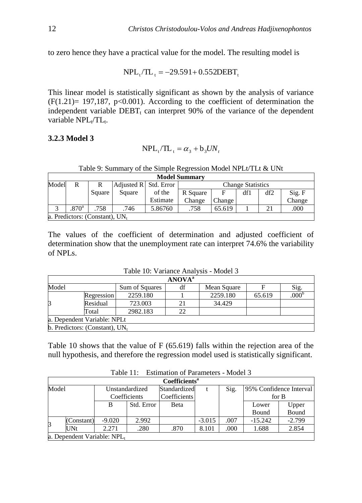to zero hence they have a practical value for the model. The resulting model is

 $NPL_{t} /TL_{t} = -29.591 + 0.552DEBT_{t}$ 

This linear model is statistically significant as shown by the analysis of variance  $(F(1.21)= 197,187, p<0.001)$ . According to the coefficient of determination the independent variable  $DEBT_t$  can interpret 90% of the variance of the dependent variable NPL<sub>t</sub>/TL<sub>t</sub>.

#### **3.2.3 Model 3**

$$
NPL_t/TL_t = \alpha_3 + b_3UN_t
$$

| Table 9: Summary of the Simple Regression Model NPLt/TLt & UNt |  |  |  |
|----------------------------------------------------------------|--|--|--|
|                                                                |  |  |  |

|       | <b>Model Summary</b>              |        |                         |          |                          |        |     |     |        |  |  |
|-------|-----------------------------------|--------|-------------------------|----------|--------------------------|--------|-----|-----|--------|--|--|
| Model | R                                 | R      | Adjusted $R$ Std. Error |          | <b>Change Statistics</b> |        |     |     |        |  |  |
|       |                                   | Square | Square                  | of the   | R Square                 |        | df1 | df2 | Sig. F |  |  |
|       |                                   |        |                         | Estimate | Change                   | Change |     |     | Change |  |  |
|       | .870 <sup>a</sup>                 | 758    | .746                    | 5.86760  | .758                     | 65.619 |     | 21  | .000   |  |  |
|       | a. Predictors: (Constant), $UN_t$ |        |                         |          |                          |        |     |     |        |  |  |

The values of the coefficient of determination and adjusted coefficient of determination show that the unemployment rate can interpret 74.6% the variability of NPLs.

Table 10: Variance Analysis - Model 3

|                                   |                              |                | <b>ANOVA</b> <sup>a</sup> |             |        |      |  |  |  |
|-----------------------------------|------------------------------|----------------|---------------------------|-------------|--------|------|--|--|--|
| Model                             |                              | Sum of Squares | df                        | Mean Square |        | Sig. |  |  |  |
|                                   | <b>Regression</b>            | 2259.180       |                           | 2259.180    | 65.619 | .000 |  |  |  |
| 3                                 | Residual                     | 723.003        |                           | 34.429      |        |      |  |  |  |
|                                   | Total                        | 2982.183       | 22                        |             |        |      |  |  |  |
|                                   | la. Dependent Variable: NPLt |                |                           |             |        |      |  |  |  |
| b. Predictors: (Constant), $UN_t$ |                              |                |                           |             |        |      |  |  |  |

Table 10 shows that the value of F (65.619) falls within the rejection area of the null hypothesis, and therefore the regression model used is statistically significant.

|             | $1$ and $11.$<br>ESUINATION OF FALAMENTS - MOUTH 3 |                                |            |                           |          |      |                         |          |  |
|-------------|----------------------------------------------------|--------------------------------|------------|---------------------------|----------|------|-------------------------|----------|--|
|             |                                                    |                                |            | Coefficients <sup>a</sup> |          |      |                         |          |  |
| Model       |                                                    | Unstandardized<br>Coefficients |            | Standardized              |          | Sig. | 95% Confidence Interval |          |  |
|             |                                                    |                                |            | Coefficients              |          |      | for B                   |          |  |
|             |                                                    | B                              | Std. Error | Beta                      |          |      | Lower                   | Upper    |  |
|             |                                                    |                                |            |                           |          |      | Bound                   | Bound    |  |
| $\mathsf B$ | (Constant)                                         | $-9.020$                       | 2.992      |                           | $-3.015$ | .007 | $-15.242$               | $-2.799$ |  |
|             | $\overline{\text{UNt}}$                            | 2.271                          | .280       | .870                      | 8.101    | .000 | 1.688                   | 2.854    |  |
|             |                                                    | a. Dependent Variable: $NPL_t$ |            |                           |          |      |                         |          |  |

Table 11: Estimation of Parameters Model 3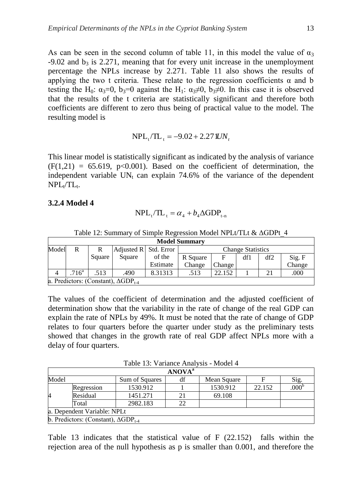As can be seen in the second column of table 11, in this model the value of  $\alpha_3$  $-9.02$  and  $b_3$  is 2.271, meaning that for every unit increase in the unemployment percentage the NPLs increase by 2.271. Table 11 also shows the results of applying the two t criteria. These relate to the regression coefficients  $\alpha$  and b testing the H<sub>0</sub>:  $\alpha_3=0$ ,  $\beta_3=0$  against the H<sub>1</sub>:  $\alpha_3\neq 0$ ,  $\beta_3\neq 0$ . In this case it is observed that the results of the t criteria are statistically significant and therefore both coefficients are different to zero thus being of practical value to the model. The resulting model is

$$
NPL_t/TL_t = -9.02 + 2.271 UN_t
$$

This linear model is statistically significant as indicated by the analysis of variance  $(F(1,21) = 65.619, p<0.001)$ . Based on the coefficient of determination, the independent variable  $UN_t$  can explain 74.6% of the variance of the dependent  $NPL_t/TL_t$ .

#### **3.2.4 Model 4**

$$
NPL_{t}/TL_{t} = \alpha_{4} + b_{4}\Delta GDP_{t-n}
$$

|       | <b>Model Summary</b>                             |        |                         |          |                              |        |     |     |        |
|-------|--------------------------------------------------|--------|-------------------------|----------|------------------------------|--------|-----|-----|--------|
| Model | R                                                |        | Adjusted $R$ Std. Error |          | <b>Change Statistics</b>     |        |     |     |        |
|       |                                                  | Square | Square                  | of the   | R Square                     | F      | df1 | df2 | Sig. F |
|       |                                                  |        |                         | Estimate | Change                       | Change |     |     | Change |
| 4     | 716 <sup>a</sup>                                 | .513   | .490                    | 8.31313  | 21<br>22.152<br>.000<br>.513 |        |     |     |        |
|       | a. Predictors: (Constant), $\triangle GDP_{1.4}$ |        |                         |          |                              |        |     |     |        |

Table 12: Summary of Simple Regression Model NPLt/TLt & ΔGDPt\_4

The values of the coefficient of determination and the adjusted coefficient of determination show that the variability in the rate of change of the real GDP can explain the rate of NPLs by 49%. It must be noted that the rate of change of GDP relates to four quarters before the quarter under study as the preliminary tests showed that changes in the growth rate of real GDP affect NPLs more with a delay of four quarters.

Table 13: Variance Analysis - Model 4

|       |                                                      |                | <b>ANOVA</b> <sup>a</sup> |             |        |      |
|-------|------------------------------------------------------|----------------|---------------------------|-------------|--------|------|
| Model |                                                      | Sum of Squares | df                        | Mean Square |        | Sig. |
|       | Regression                                           | 1530.912       |                           | 1530.912    | 22.152 | .000 |
| 4     | Residual                                             | 1451.271       |                           | 69.108      |        |      |
|       | Total                                                | 2982.183       | 22                        |             |        |      |
|       | a. Dependent Variable: NPLt                          |                |                           |             |        |      |
|       | <b>b.</b> Predictors: (Constant), $\Delta GDP_{t-4}$ |                |                           |             |        |      |

Table 13 indicates that the statistical value of F (22.152) falls within the rejection area of the null hypothesis as p is smaller than 0.001, and therefore the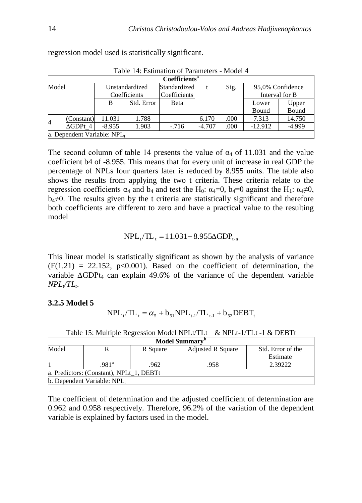|                |                 |                                |            | $1$ avic $14.$ Estimation of 1 afameters - Niouel $4$ |          |      |                                    |                |
|----------------|-----------------|--------------------------------|------------|-------------------------------------------------------|----------|------|------------------------------------|----------------|
|                |                 |                                |            | Coefficients <sup>a</sup>                             |          |      |                                    |                |
| Model          |                 | Unstandardized<br>Coefficients |            | Standardized<br>Coefficients                          | Sig.     |      | 95,0% Confidence<br>Interval for B |                |
|                |                 | B                              | Std. Error | Beta                                                  |          |      | Lower<br>Bound                     | Upper<br>Bound |
| $\overline{4}$ | (Constant)      | 11.031                         | 1.788      |                                                       | 6.170    | .000 | 7.313                              | 14.750         |
|                | $\Delta GDPt$ 4 | $-8.955$                       | 1.903      | $-716$                                                | $-4.707$ | .000 | $-12.912$                          | $-4.999$       |
|                |                 | a. Dependent Variable: $NPL_t$ |            |                                                       |          |      |                                    |                |

regression model used is statistically significant.

|                |            | B                          | Std. Error | Beta                                                                                   |          |      | Lower     | Upper    |
|----------------|------------|----------------------------|------------|----------------------------------------------------------------------------------------|----------|------|-----------|----------|
|                |            |                            |            |                                                                                        |          |      | Bound     | Bound    |
| $\overline{4}$ | (Constant) | 11.031                     | 1.788      |                                                                                        | 6.170    | .000 | 7.313     | 14.750   |
|                | $AGDPt$ 4  | $-8.955$                   | 1.903      | $-716$                                                                                 | $-4.707$ | .000 | $-12.912$ | $-4.999$ |
|                |            | a. Dependent Variable: NPL |            |                                                                                        |          |      |           |          |
|                |            |                            |            |                                                                                        |          |      |           |          |
|                |            |                            |            | The second column of table 14 presents the value of $\alpha_4$ of 11.031 and the value |          |      |           |          |

Table 14: Estimation of Parameters - Model 4

The second column of table 14 presents the value of  $\alpha_4$  of 11.031 and the value coefficient b4 of -8.955. This means that for every unit of increase in real GDP the percentage of NPLs four quarters later is reduced by 8.955 units. The table also shows the results from applying the two t criteria. These criteria relate to the regression coefficients  $\alpha_4$  and  $b_4$  and test the H<sub>0</sub>:  $\alpha_4=0$ ,  $b_4=0$  against the H<sub>1</sub>:  $\alpha_4\neq 0$ ,  $b_4\neq 0$ . The results given by the t criteria are statistically significant and therefore both coefficients are different to zero and have a practical value to the resulting model

$$
NPL_t/TL_t = 11.031 - 8.955\Delta GDP_{t-n}
$$

This linear model is statistically significant as shown by the analysis of variance  $(F(1.21) = 22.152, p<0.001)$ . Based on the coefficient of determination, the variable  $\triangle$ GDPt<sub>4</sub> can explain 49.6% of the variance of the dependent variable  $NPL_tTL_t$ 

#### **3.2.5 Model 5**

$$
NPL_{t}/TL_{t} = \alpha_{5} + b_{51}NPL_{t-1}/TL_{t-1} + b_{52}DEBT_{t}
$$

| <b>Model Summary</b> <sup>D</sup>        |                                |          |                          |                   |  |  |  |  |  |
|------------------------------------------|--------------------------------|----------|--------------------------|-------------------|--|--|--|--|--|
| Model                                    |                                | R Square | <b>Adjusted R Square</b> | Std. Error of the |  |  |  |  |  |
|                                          |                                |          |                          | Estimate          |  |  |  |  |  |
|                                          | .981ª                          | .962     | .958                     | 2.39222           |  |  |  |  |  |
| a. Predictors: (Constant), NPLt 1, DEBTt |                                |          |                          |                   |  |  |  |  |  |
|                                          | b. Dependent Variable: $NPL_t$ |          |                          |                   |  |  |  |  |  |

Table 15: Multiple Regression Model NPLt/TLt & NPLt-1/TLt -1 & DEBTt

The coefficient of determination and the adjusted coefficient of determination are 0.962 and 0.958 respectively. Therefore, 96.2% of the variation of the dependent variable is explained by factors used in the model.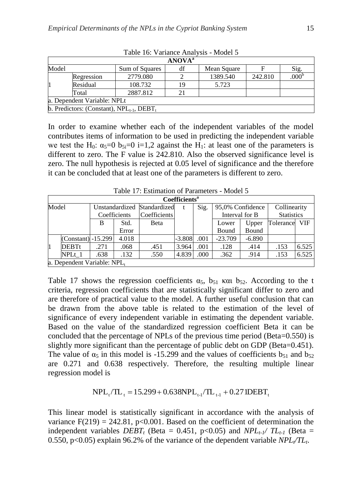|       |                                                |                | <b>ANOVA</b> <sup>a</sup> |             |         |      |  |  |
|-------|------------------------------------------------|----------------|---------------------------|-------------|---------|------|--|--|
| Model |                                                | Sum of Squares | df                        | Mean Square |         | Sig. |  |  |
|       | Regression                                     | 2779.080       |                           | 1389.540    | 242.810 | .000 |  |  |
|       | Residual                                       | 108.732        | 19                        | 5.723       |         |      |  |  |
|       | Total                                          | 2887.812       |                           |             |         |      |  |  |
|       | a. Dependent Variable: NPLt                    |                |                           |             |         |      |  |  |
|       | b. Predictors: (Constant), $NPL_{t-1}$ , DEBT, |                |                           |             |         |      |  |  |

Table 16: Variance Analysis - Model 5

In order to examine whether each of the independent variables of the model contributes items of information to be used in predicting the independent variable we test the H<sub>0</sub>:  $\alpha_5=0$  b<sub>5i</sub>=0 i=1,2 against the H<sub>1</sub>: at least one of the parameters is different to zero. The F value is 242.810. Also the observed significance level is zero. The null hypothesis is rejected at 0.05 level of significance and the therefore it can be concluded that at least one of the parameters is different to zero.

|       | Coefficients <sup>a</sup>   |                             |              |              |          |      |                  |          |                   |            |
|-------|-----------------------------|-----------------------------|--------------|--------------|----------|------|------------------|----------|-------------------|------------|
| Model |                             | Unstandardized Standardized |              |              | t        | Sig. | 95,0% Confidence |          | Collinearity      |            |
|       |                             |                             | Coefficients | Coefficients |          |      | Interval for B   |          | <b>Statistics</b> |            |
|       |                             | B                           | Std.         | Beta         |          |      | Lower            | Upper    | Tolerance         | <b>VIF</b> |
|       |                             |                             | Error        |              |          |      | Bound            | Bound    |                   |            |
|       | $(Constant) -15.299$        |                             | 4.018        |              | $-3.808$ | .001 | $-23.709$        | $-6.890$ |                   |            |
| l1    | <b>DEBTt</b>                | .271                        | .068         | .451         | 3.964    | .001 | .128             | .414     | .153              | 6.525      |
|       | NPLt 1                      | .638                        | .132         | .550         | 4.839    | .000 | .362             | .914     | .153              | 6.525      |
|       | a. Dependent Variable: NPL, |                             |              |              |          |      |                  |          |                   |            |

Table 17: Estimation of Parameters - Model 5

Table 17 shows the regression coefficients  $\alpha_5$ ,  $b_{51}$  και  $b_{52}$ . According to the t criteria, regression coefficients that are statistically significant differ to zero and are therefore of practical value to the model. A further useful conclusion that can be drawn from the above table is related to the estimation of the level of significance of every independent variable in estimating the dependent variable. Based on the value of the standardized regression coefficient Beta it can be concluded that the percentage of NPLs of the previous time period (Beta=0.550) is slightly more significant than the percentage of public debt on GDP (Beta=0.451). The value of  $\alpha_5$  in this model is -15.299 and the values of coefficients  $b_{51}$  and  $b_{52}$ are 0.271 and 0.638 respectively. Therefore, the resulting multiple linear regression model is

$$
NPL_t/TL_t = 15.299 + 0.638 NPL_{t-1}/TL_{t-1} + 0.271 DEBT_t
$$

This linear model is statistically significant in accordance with the analysis of variance  $F(219) = 242.81$ ,  $p<0.001$ . Based on the coefficient of determination the independent variables  $DEBT_t$  (Beta = 0.451, p<0.05) and  $NPL_t$ <sup>*I*</sup>  $TL_{t-1}$  (Beta = 0.550, p<0.05) explain 96.2% of the variance of the dependent variable *NPLt/TL<sup>t</sup>* .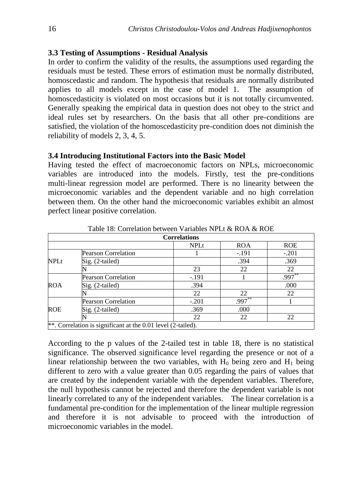## **3.3 Testing of Assumptions - Residual Analysis**

In order to confirm the validity of the results, the assumptions used regarding the residuals must be tested. These errors of estimation must be normally distributed, homoscedastic and random. The hypothesis that residuals are normally distributed applies to all models except in the case of model 1. The assumption of homoscedasticity is violated on most occasions but it is not totally circumvented. Generally speaking the empirical data in question does not obey to the strict and ideal rules set by researchers. On the basis that all other pre-conditions are satisfied, the violation of the homoscedasticity pre-condition does not diminish the reliability of models 2, 3, 4, 5.

## **3.4 Introducing Institutional Factors into the Basic Model**

Having tested the effect of macroeconomic factors on NPLs, microeconomic variables are introduced into the models. Firstly, test the pre-conditions multi-linear regression model are performed. There is no linearity between the microeconomic variables and the dependent variable and no high correlation between them. On the other hand the microeconomic variables exhibit an almost perfect linear positive correlation.

|             |                                                              | <b>Correlations</b> |            |            |
|-------------|--------------------------------------------------------------|---------------------|------------|------------|
|             |                                                              | <b>NPLt</b>         | <b>ROA</b> | <b>ROE</b> |
|             | <b>Pearson Correlation</b>                                   |                     | $-.191$    | $-.201$    |
| <b>NPLt</b> | $Sig. (2-tailed)$                                            |                     | .394       | .369       |
|             |                                                              | 23                  | 22         | 22         |
|             | <b>Pearson Correlation</b>                                   | $-.191$             |            | $.997*$    |
| <b>ROA</b>  | $Sig. (2-tailed)$                                            | .394                |            | .000       |
|             |                                                              | 22                  | 22         | 22         |
|             | Pearson Correlation                                          | $-.201$             | $.997***$  |            |
| <b>ROE</b>  | Sig. (2-tailed)                                              | .369                | .000       |            |
|             |                                                              | 22                  | 22         | 22         |
|             | **. Correlation is significant at the 0.01 level (2-tailed). |                     |            |            |

Table 18: Correlation between Variables NPLt & ROA & ROE

According to the p values of the 2-tailed test in table 18, there is no statistical significance. The observed significance level regarding the presence or not of a linear relationship between the two variables, with  $H_0$  being zero and  $H_1$  being different to zero with a value greater than 0.05 regarding the pairs of values that are created by the independent variable with the dependent variables. Therefore, the null hypothesis cannot be rejected and therefore the dependent variable is not linearly correlated to any of the independent variables. The linear correlation is a fundamental pre-condition for the implementation of the linear multiple regression and therefore it is not advisable to proceed with the introduction of microeconomic variables in the model.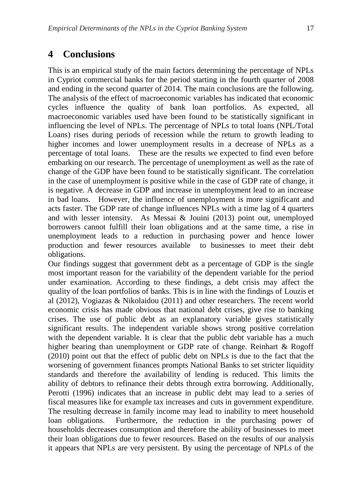## **4 Conclusions**

This is an empirical study of the main factors determining the percentage of NPLs in Cypriot commercial banks for the period starting in the fourth quarter of 2008 and ending in the second quarter of 2014. The main conclusions are the following. The analysis of the effect of macroeconomic variables has indicated that economic cycles influence the quality of bank loan portfolios. As expected, all macroeconomic variables used have been found to be statistically significant in influencing the level of NPLs. The percentage of NPLs to total loans (NPL/Total Loans) rises during periods of recession while the return to growth leading to higher incomes and lower unemployment results in a decrease of NPLs as a percentage of total loans. These are the results we expected to find even before embarking on our research. The percentage of unemployment as well as the rate of change of the GDP have been found to be statistically significant. The correlation in the case of unemployment is positive while in the case of GDP rate of change, it is negative. A decrease in GDP and increase in unemployment lead to an increase in bad loans. However, the influence of unemployment is more significant and acts faster. The GDP rate of change influences NPLs with a time lag of 4 quarters and with lesser intensity. As Messai & Jouini (2013) point out, unemployed borrowers cannot fulfill their loan obligations and at the same time, a rise in unemployment leads to a reduction in purchasing power and hence lower production and fewer resources available to businesses to meet their debt obligations.

Our findings suggest that government debt as a percentage of GDP is the single most important reason for the variability of the dependent variable for the period under examination. According to these findings, a debt crisis may affect the quality of the loan portfolios of banks. This is in line with the findings of Louzis et al (2012), Vogiazas & Nikolaidou (2011) and other researchers. The recent world economic crisis has made obvious that national debt crises, give rise to banking crises. The use of public debt as an explanatory variable gives statistically significant results. The independent variable shows strong positive correlation with the dependent variable. It is clear that the public debt variable has a much higher bearing than unemployment or GDP rate of change. Reinhart & Rogoff (2010) point out that the effect of public debt on NPLs is due to the fact that the worsening of government finances prompts National Banks to set stricter liquidity standards and therefore the availability of lending is reduced. This limits the ability of debtors to refinance their debts through extra borrowing. Additionally, Perotti (1996) indicates that an increase in public debt may lead to a series of fiscal measures like for example tax increases and cuts in government expenditure. The resulting decrease in family income may lead to inability to meet household loan obligations. Furthermore, the reduction in the purchasing power of households decreases consumption and therefore the ability of businesses to meet their loan obligations due to fewer resources. Based on the results of our analysis it appears that NPLs are very persistent. By using the percentage of NPLs of the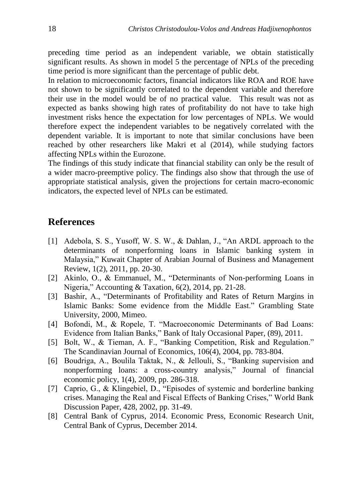preceding time period as an independent variable, we obtain statistically significant results. As shown in model 5 the percentage of NPLs of the preceding time period is more significant than the percentage of public debt.

In relation to microeconomic factors, financial indicators like ROA and ROE have not shown to be significantly correlated to the dependent variable and therefore their use in the model would be of no practical value. This result was not as expected as banks showing high rates of profitability do not have to take high investment risks hence the expectation for low percentages of NPLs. We would therefore expect the independent variables to be negatively correlated with the dependent variable. It is important to note that similar conclusions have been reached by other researchers like Makri et al (2014), while studying factors affecting NPLs within the Eurozone.

The findings of this study indicate that financial stability can only be the result of a wider macro-preemptive policy. The findings also show that through the use of appropriate statistical analysis, given the projections for certain macro-economic indicators, the expected level of NPLs can be estimated.

## **References**

- [1] Adebola, S. S., Yusoff, W. S. W., & Dahlan, J., "An ARDL approach to the determinants of nonperforming loans in Islamic banking system in Malaysia," Kuwait Chapter of Arabian Journal of Business and Management Review, 1(2), 2011, pp. 20-30.
- [2] Akinlo, O., & Emmanuel, M., "Determinants of Non-performing Loans in Nigeria," Accounting & Taxation, 6(2)*,* 2014, pp. 21-28.
- [3] Bashir, A., "Determinants of Profitability and Rates of Return Margins in Islamic Banks: Some evidence from the Middle East." Grambling State University, 2000, Mimeo.
- [4] Bofondi, M., & Ropele, T. "Macroeconomic Determinants of Bad Loans: Evidence from Italian Banks," Bank of Italy Occasional Paper, (89), 2011.
- [5] Bolt, W., & Tieman, A. F., "Banking Competition, Risk and Regulation." The Scandinavian Journal of Economics, 106(4), 2004, pp. 783-804.
- [6] Boudriga, A., Boulila Taktak, N., & Jellouli, S., "Banking supervision and nonperforming loans: a cross-country analysis," Journal of financial economic policy, 1(4), 2009, pp. 286-318.
- [7] Caprio, G., & Klingebiel, D., "Episodes of systemic and borderline banking crises. Managing the Real and Fiscal Effects of Banking Crises," World Bank Discussion Paper, 428, 2002, pp. 31-49.
- [8] Central Bank of Cyprus, 2014. Economic Press, Economic Research Unit, Central Bank of Cyprus, December 2014.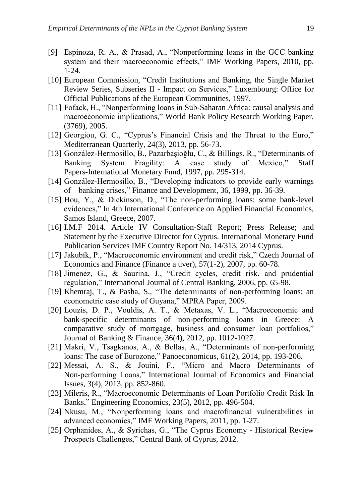- [9] Espinoza, R. A., & Prasad, A., "Nonperforming loans in the GCC banking system and their macroeconomic effects," IMF Working Papers, 2010, pp. 1-24.
- [10] European Commission, "Credit Institutions and Banking, the Single Market Review Series, Subseries II - Impact on Services," Luxembourg: Office for Official Publications of the European Communities, 1997.
- [11] Fofack, H., "Nonperforming loans in Sub-Saharan Africa: causal analysis and macroeconomic implications," World Bank Policy Research Working Paper, (3769), 2005.
- [12] Georgiou, G. C., "Cyprus's Financial Crisis and the Threat to the Euro," Mediterranean Quarterly, 24(3), 2013, pp. 56-73.
- [13] González-Hermosillo, B., Pazarbaşioğlu, C., & Billings, R., "Determinants of Banking System Fragility: A case study of Mexico," Staff Papers-International Monetary Fund, 1997, pp. 295-314.
- [14] González-Hermosillo, B., "Developing indicators to provide early warnings of banking crises," Finance and Development, 36, 1999, pp. 36-39.
- [15] Hou, Y., & Dickinson, D., "The non-performing loans: some bank-level evidences," In 4th International Conference on Applied Financial Economics, Samos Island, Greece, 2007.
- [16] I.M.F 2014. Article IV Consultation-Staff Report; Press Release; and Statement by the Executive Director for Cyprus. International Monetary Fund Publication Services IMF Country Report No. 14/313, 2014 Cyprus.
- [17] Jakubík, P., "Macroeconomic environment and credit risk," Czech Journal of Economics and Finance (Finance a uver), 57(1-2), 2007, pp. 60-78.
- [18] Jimenez, G., & Saurina, J., "Credit cycles, credit risk, and prudential regulation," International Journal of Central Banking, 2006, pp. 65-98.
- [19] Khemraj, T., & Pasha, S., "The determinants of non-performing loans: an econometric case study of Guyana," MPRA Paper, 2009.
- [20] Louzis, D. P., Vouldis, A. T., & Metaxas, V. L., "Macroeconomic and bank-specific determinants of non-performing loans in Greece: A comparative study of mortgage, business and consumer loan portfolios," Journal of Banking & Finance, 36(4), 2012, pp. 1012-1027.
- [21] Makri, V., Tsagkanos, A., & Bellas, A., "Determinants of non-performing loans: The case of Eurozone," Panoeconomicus, 61(2), 2014, pp. 193-206.
- [22] Messai, A. S., & Jouini, F., "Micro and Macro Determinants of Non-performing Loans," International Journal of Economics and Financial Issues, 3(4), 2013, pp. 852-860.
- [23] Mileris, R., "Macroeconomic Determinants of Loan Portfolio Credit Risk In Banks," Engineering Economics, 23(5), 2012, pp. 496-504.
- [24] Nkusu, M., "Nonperforming loans and macrofinancial vulnerabilities in advanced economies," IMF Working Papers, 2011, pp. 1-27.
- [25] Orphanides, A., & Syrichas, G., "The Cyprus Economy Historical Review Prospects Challenges," Central Bank of Cyprus, 2012.